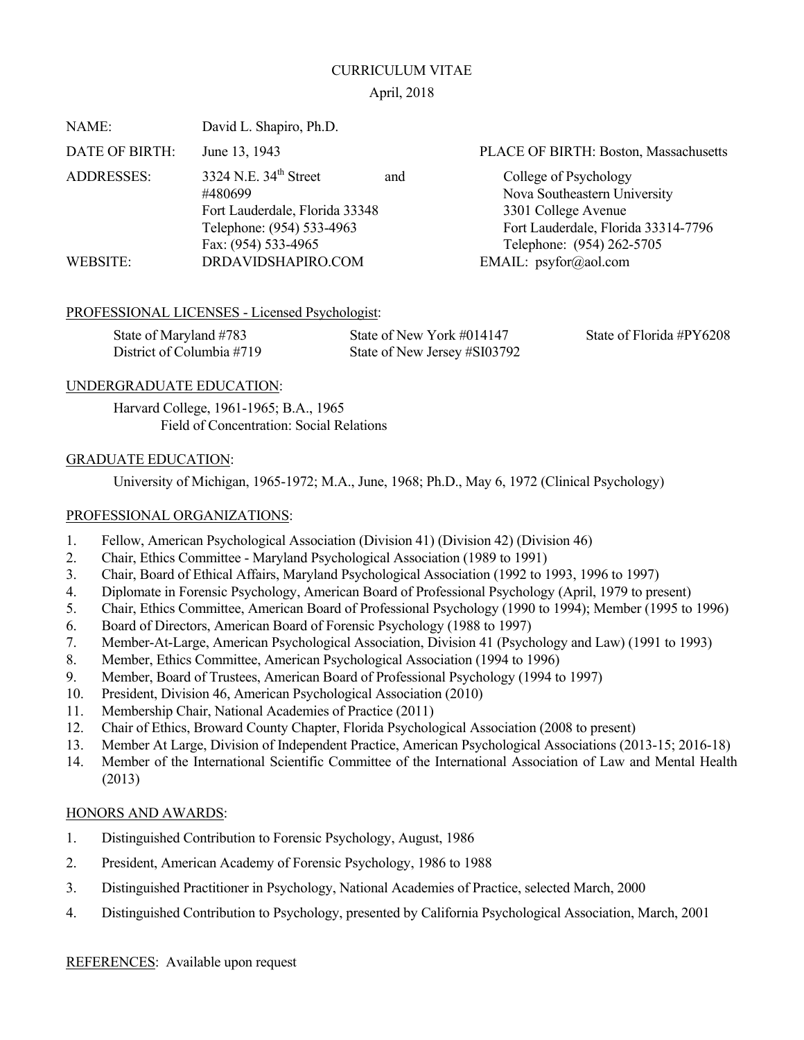#### CURRICULUM VITAE

## April, 2018

| David L. Shapiro, Ph.D.                                     |  |                                       |  |
|-------------------------------------------------------------|--|---------------------------------------|--|
| June 13, 1943                                               |  | PLACE OF BIRTH: Boston, Massachusetts |  |
| 3324 N.E. $34th$ Street                                     |  | College of Psychology                 |  |
| #480699                                                     |  | Nova Southeastern University          |  |
| Fort Lauderdale, Florida 33348<br>Telephone: (954) 533-4963 |  | 3301 College Avenue                   |  |
|                                                             |  | Fort Lauderdale, Florida 33314-7796   |  |
| Fax: (954) 533-4965                                         |  | Telephone: (954) 262-5705             |  |
| DRDAVIDSHAPIRO.COM                                          |  | EMAIL: psyfor@aol.com                 |  |
|                                                             |  | and                                   |  |

## PROFESSIONAL LICENSES - Licensed Psychologist:

| State of Maryland #783    | State of New York #014147    | State of Florida #PY6208 |
|---------------------------|------------------------------|--------------------------|
| District of Columbia #719 | State of New Jersey #SI03792 |                          |

# UNDERGRADUATE EDUCATION:

 Harvard College, 1961-1965; B.A., 1965 Field of Concentration: Social Relations

## GRADUATE EDUCATION:

University of Michigan, 1965-1972; M.A., June, 1968; Ph.D., May 6, 1972 (Clinical Psychology)

## PROFESSIONAL ORGANIZATIONS:

- 1. Fellow, American Psychological Association (Division 41) (Division 42) (Division 46)
- 2. Chair, Ethics Committee Maryland Psychological Association (1989 to 1991)
- 3. Chair, Board of Ethical Affairs, Maryland Psychological Association (1992 to 1993, 1996 to 1997)
- 4. Diplomate in Forensic Psychology, American Board of Professional Psychology (April, 1979 to present)
- 5. Chair, Ethics Committee, American Board of Professional Psychology (1990 to 1994); Member (1995 to 1996)
- 6. Board of Directors, American Board of Forensic Psychology (1988 to 1997)
- 7. Member-At-Large, American Psychological Association, Division 41 (Psychology and Law) (1991 to 1993)
- 8. Member, Ethics Committee, American Psychological Association (1994 to 1996)
- 9. Member, Board of Trustees, American Board of Professional Psychology (1994 to 1997)
- 10. President, Division 46, American Psychological Association (2010)
- 11. Membership Chair, National Academies of Practice (2011)
- 12. Chair of Ethics, Broward County Chapter, Florida Psychological Association (2008 to present)
- 13. Member At Large, Division of Independent Practice, American Psychological Associations (2013-15; 2016-18)
- 14. Member of the International Scientific Committee of the International Association of Law and Mental Health (2013)

## HONORS AND AWARDS:

- 1. Distinguished Contribution to Forensic Psychology, August, 1986
- 2. President, American Academy of Forensic Psychology, 1986 to 1988
- 3. Distinguished Practitioner in Psychology, National Academies of Practice, selected March, 2000
- 4. Distinguished Contribution to Psychology, presented by California Psychological Association, March, 2001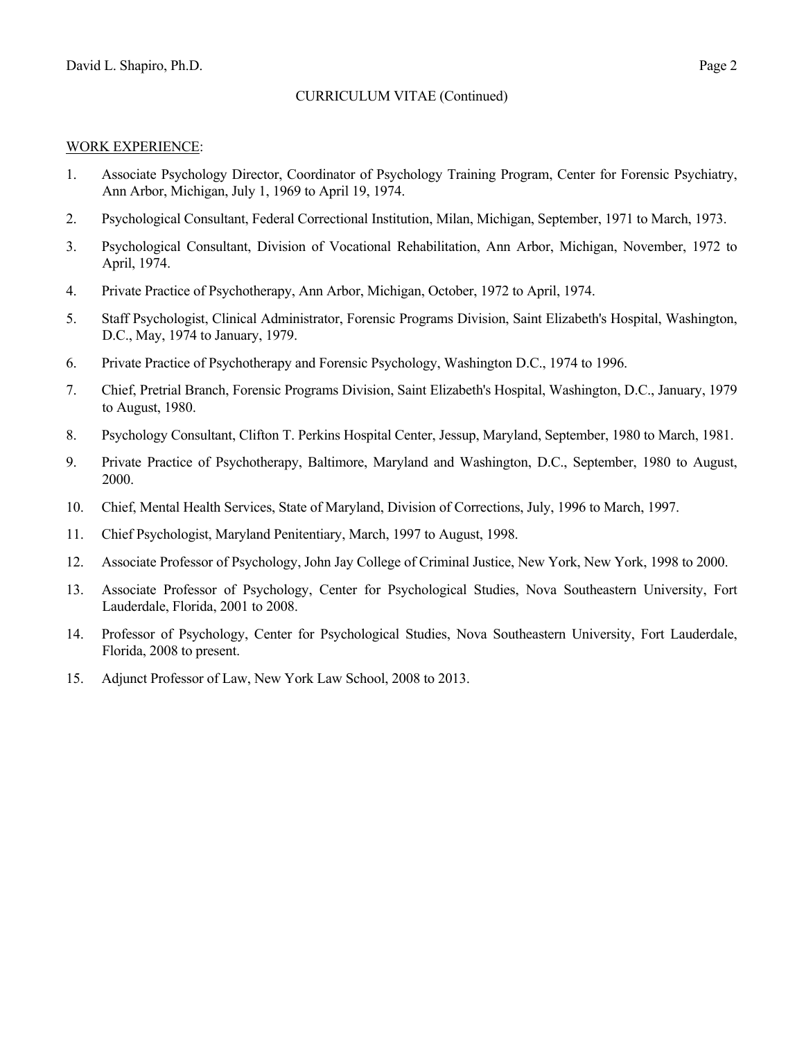#### WORK EXPERIENCE:

- 1. Associate Psychology Director, Coordinator of Psychology Training Program, Center for Forensic Psychiatry, Ann Arbor, Michigan, July 1, 1969 to April 19, 1974.
- 2. Psychological Consultant, Federal Correctional Institution, Milan, Michigan, September, 1971 to March, 1973.
- 3. Psychological Consultant, Division of Vocational Rehabilitation, Ann Arbor, Michigan, November, 1972 to April, 1974.
- 4. Private Practice of Psychotherapy, Ann Arbor, Michigan, October, 1972 to April, 1974.
- 5. Staff Psychologist, Clinical Administrator, Forensic Programs Division, Saint Elizabeth's Hospital, Washington, D.C., May, 1974 to January, 1979.
- 6. Private Practice of Psychotherapy and Forensic Psychology, Washington D.C., 1974 to 1996.
- 7. Chief, Pretrial Branch, Forensic Programs Division, Saint Elizabeth's Hospital, Washington, D.C., January, 1979 to August, 1980.
- 8. Psychology Consultant, Clifton T. Perkins Hospital Center, Jessup, Maryland, September, 1980 to March, 1981.
- 9. Private Practice of Psychotherapy, Baltimore, Maryland and Washington, D.C., September, 1980 to August, 2000.
- 10. Chief, Mental Health Services, State of Maryland, Division of Corrections, July, 1996 to March, 1997.
- 11. Chief Psychologist, Maryland Penitentiary, March, 1997 to August, 1998.
- 12. Associate Professor of Psychology, John Jay College of Criminal Justice, New York, New York, 1998 to 2000.
- 13. Associate Professor of Psychology, Center for Psychological Studies, Nova Southeastern University, Fort Lauderdale, Florida, 2001 to 2008.
- 14. Professor of Psychology, Center for Psychological Studies, Nova Southeastern University, Fort Lauderdale, Florida, 2008 to present.
- 15. Adjunct Professor of Law, New York Law School, 2008 to 2013.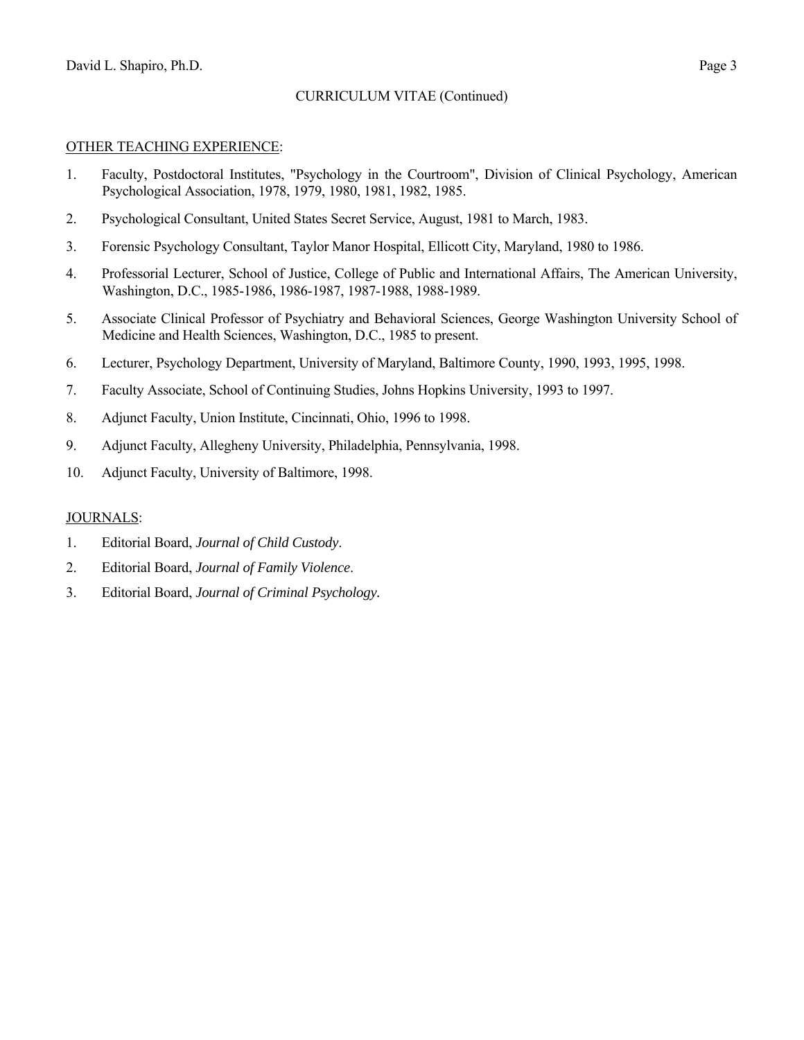#### OTHER TEACHING EXPERIENCE:

- 1. Faculty, Postdoctoral Institutes, "Psychology in the Courtroom", Division of Clinical Psychology, American Psychological Association, 1978, 1979, 1980, 1981, 1982, 1985.
- 2. Psychological Consultant, United States Secret Service, August, 1981 to March, 1983.
- 3. Forensic Psychology Consultant, Taylor Manor Hospital, Ellicott City, Maryland, 1980 to 1986.
- 4. Professorial Lecturer, School of Justice, College of Public and International Affairs, The American University, Washington, D.C., 1985-1986, 1986-1987, 1987-1988, 1988-1989.
- 5. Associate Clinical Professor of Psychiatry and Behavioral Sciences, George Washington University School of Medicine and Health Sciences, Washington, D.C., 1985 to present.
- 6. Lecturer, Psychology Department, University of Maryland, Baltimore County, 1990, 1993, 1995, 1998.
- 7. Faculty Associate, School of Continuing Studies, Johns Hopkins University, 1993 to 1997.
- 8. Adjunct Faculty, Union Institute, Cincinnati, Ohio, 1996 to 1998.
- 9. Adjunct Faculty, Allegheny University, Philadelphia, Pennsylvania, 1998.
- 10. Adjunct Faculty, University of Baltimore, 1998.

#### JOURNALS:

- 1. Editorial Board, *Journal of Child Custody*.
- 2. Editorial Board, *Journal of Family Violence*.
- 3. Editorial Board, *Journal of Criminal Psychology.*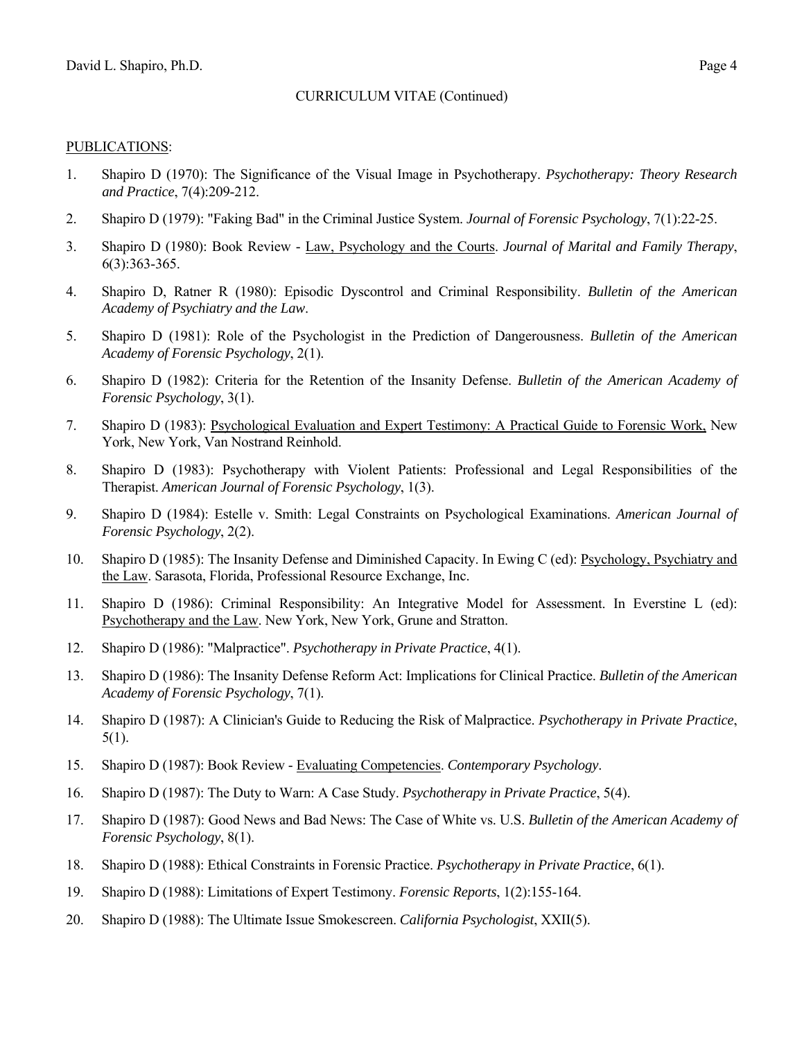# PUBLICATIONS:

- 1. Shapiro D (1970): The Significance of the Visual Image in Psychotherapy. *Psychotherapy: Theory Research and Practice*, 7(4):209-212.
- 2. Shapiro D (1979): "Faking Bad" in the Criminal Justice System. *Journal of Forensic Psychology*, 7(1):22-25.
- 3. Shapiro D (1980): Book Review Law, Psychology and the Courts. *Journal of Marital and Family Therapy*, 6(3):363-365.
- 4. Shapiro D, Ratner R (1980): Episodic Dyscontrol and Criminal Responsibility. *Bulletin of the American Academy of Psychiatry and the Law*.
- 5. Shapiro D (1981): Role of the Psychologist in the Prediction of Dangerousness. *Bulletin of the American Academy of Forensic Psychology*, 2(1).
- 6. Shapiro D (1982): Criteria for the Retention of the Insanity Defense. *Bulletin of the American Academy of Forensic Psychology*, 3(1).
- 7. Shapiro D (1983): Psychological Evaluation and Expert Testimony: A Practical Guide to Forensic Work, New York, New York, Van Nostrand Reinhold.
- 8. Shapiro D (1983): Psychotherapy with Violent Patients: Professional and Legal Responsibilities of the Therapist. *American Journal of Forensic Psychology*, 1(3).
- 9. Shapiro D (1984): Estelle v. Smith: Legal Constraints on Psychological Examinations. *American Journal of Forensic Psychology*, 2(2).
- 10. Shapiro D (1985): The Insanity Defense and Diminished Capacity. In Ewing C (ed): Psychology, Psychiatry and the Law. Sarasota, Florida, Professional Resource Exchange, Inc.
- 11. Shapiro D (1986): Criminal Responsibility: An Integrative Model for Assessment. In Everstine L (ed): Psychotherapy and the Law. New York, New York, Grune and Stratton.
- 12. Shapiro D (1986): "Malpractice". *Psychotherapy in Private Practice*, 4(1).
- 13. Shapiro D (1986): The Insanity Defense Reform Act: Implications for Clinical Practice. *Bulletin of the American Academy of Forensic Psychology*, 7(1).
- 14. Shapiro D (1987): A Clinician's Guide to Reducing the Risk of Malpractice. *Psychotherapy in Private Practice*, 5(1).
- 15. Shapiro D (1987): Book Review Evaluating Competencies. *Contemporary Psychology*.
- 16. Shapiro D (1987): The Duty to Warn: A Case Study. *Psychotherapy in Private Practice*, 5(4).
- 17. Shapiro D (1987): Good News and Bad News: The Case of White vs. U.S. *Bulletin of the American Academy of Forensic Psychology*, 8(1).
- 18. Shapiro D (1988): Ethical Constraints in Forensic Practice. *Psychotherapy in Private Practice*, 6(1).
- 19. Shapiro D (1988): Limitations of Expert Testimony. *Forensic Reports*, 1(2):155-164.
- 20. Shapiro D (1988): The Ultimate Issue Smokescreen. *California Psychologist*, XXII(5).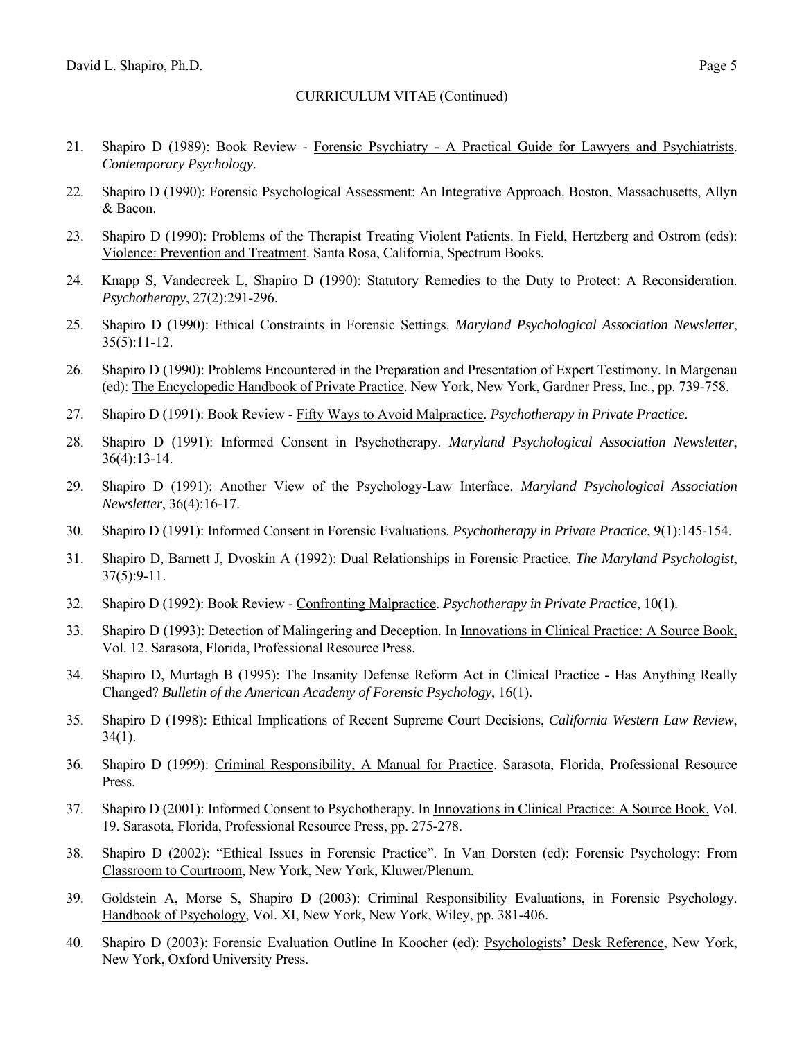- 21. Shapiro D (1989): Book Review Forensic Psychiatry A Practical Guide for Lawyers and Psychiatrists. *Contemporary Psychology*.
- 22. Shapiro D (1990): Forensic Psychological Assessment: An Integrative Approach. Boston, Massachusetts, Allyn & Bacon.
- 23. Shapiro D (1990): Problems of the Therapist Treating Violent Patients. In Field, Hertzberg and Ostrom (eds): Violence: Prevention and Treatment. Santa Rosa, California, Spectrum Books.
- 24. Knapp S, Vandecreek L, Shapiro D (1990): Statutory Remedies to the Duty to Protect: A Reconsideration. *Psychotherapy*, 27(2):291-296.
- 25. Shapiro D (1990): Ethical Constraints in Forensic Settings. *Maryland Psychological Association Newsletter*, 35(5):11-12.
- 26. Shapiro D (1990): Problems Encountered in the Preparation and Presentation of Expert Testimony. In Margenau (ed): The Encyclopedic Handbook of Private Practice. New York, New York, Gardner Press, Inc., pp. 739-758.
- 27. Shapiro D (1991): Book Review Fifty Ways to Avoid Malpractice. *Psychotherapy in Private Practice*.
- 28. Shapiro D (1991): Informed Consent in Psychotherapy. *Maryland Psychological Association Newsletter*, 36(4):13-14.
- 29. Shapiro D (1991): Another View of the Psychology-Law Interface. *Maryland Psychological Association Newsletter*, 36(4):16-17.
- 30. Shapiro D (1991): Informed Consent in Forensic Evaluations. *Psychotherapy in Private Practice*, 9(1):145-154.
- 31. Shapiro D, Barnett J, Dvoskin A (1992): Dual Relationships in Forensic Practice. *The Maryland Psychologist*, 37(5):9-11.
- 32. Shapiro D (1992): Book Review Confronting Malpractice. *Psychotherapy in Private Practice*, 10(1).
- 33. Shapiro D (1993): Detection of Malingering and Deception. In Innovations in Clinical Practice: A Source Book, Vol. 12. Sarasota, Florida, Professional Resource Press.
- 34. Shapiro D, Murtagh B (1995): The Insanity Defense Reform Act in Clinical Practice Has Anything Really Changed? *Bulletin of the American Academy of Forensic Psychology*, 16(1).
- 35. Shapiro D (1998): Ethical Implications of Recent Supreme Court Decisions, *California Western Law Review*,  $34(1)$ .
- 36. Shapiro D (1999): Criminal Responsibility, A Manual for Practice. Sarasota, Florida, Professional Resource Press.
- 37. Shapiro D (2001): Informed Consent to Psychotherapy. In Innovations in Clinical Practice: A Source Book. Vol. 19. Sarasota, Florida, Professional Resource Press, pp. 275-278.
- 38. Shapiro D (2002): "Ethical Issues in Forensic Practice". In Van Dorsten (ed): Forensic Psychology: From Classroom to Courtroom, New York, New York, Kluwer/Plenum.
- 39. Goldstein A, Morse S, Shapiro D (2003): Criminal Responsibility Evaluations, in Forensic Psychology. Handbook of Psychology, Vol. XI, New York, New York, Wiley, pp. 381-406.
- 40. Shapiro D (2003): Forensic Evaluation Outline In Koocher (ed): Psychologists' Desk Reference, New York, New York, Oxford University Press.